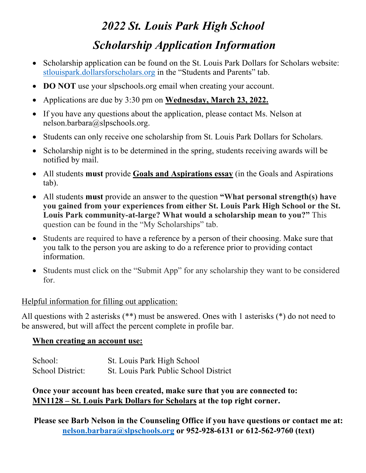# *2022 St. Louis Park High School Scholarship Application Information*

- Scholarship application can be found on the St. Louis Park Dollars for Scholars website: stlouispark.dollarsforscholars.org in the "Students and Parents" tab.
- **DO NOT** use your slpschools.org email when creating your account.
- Applications are due by 3:30 pm on **Wednesday, March 23, 2022.**
- If you have any questions about the application, please contact Ms. Nelson at nelson.barbara@slpschools.org.
- Students can only receive one scholarship from St. Louis Park Dollars for Scholars.
- Scholarship night is to be determined in the spring, students receiving awards will be notified by mail.
- All students **must** provide **Goals and Aspirations essay** (in the Goals and Aspirations tab).
- All students **must** provide an answer to the question **"What personal strength(s) have you gained from your experiences from either St. Louis Park High School or the St. Louis Park community-at-large? What would a scholarship mean to you?"** This question can be found in the "My Scholarships" tab.
- Students are required to have a reference by a person of their choosing. Make sure that you talk to the person you are asking to do a reference prior to providing contact information.
- Students must click on the "Submit App" for any scholarship they want to be considered for.

# Helpful information for filling out application:

All questions with 2 asterisks (\*\*) must be answered. Ones with 1 asterisks (\*) do not need to be answered, but will affect the percent complete in profile bar.

# **When creating an account use:**

| School:          | St. Louis Park High School            |
|------------------|---------------------------------------|
| School District: | St. Louis Park Public School District |

**Once your account has been created, make sure that you are connected to: MN1128 – St. Louis Park Dollars for Scholars at the top right corner.**

**Please see Barb Nelson in the Counseling Office if you have questions or contact me at: nelson.barbara@slpschools.org or 952-928-6131 or 612-562-9760 (text)**